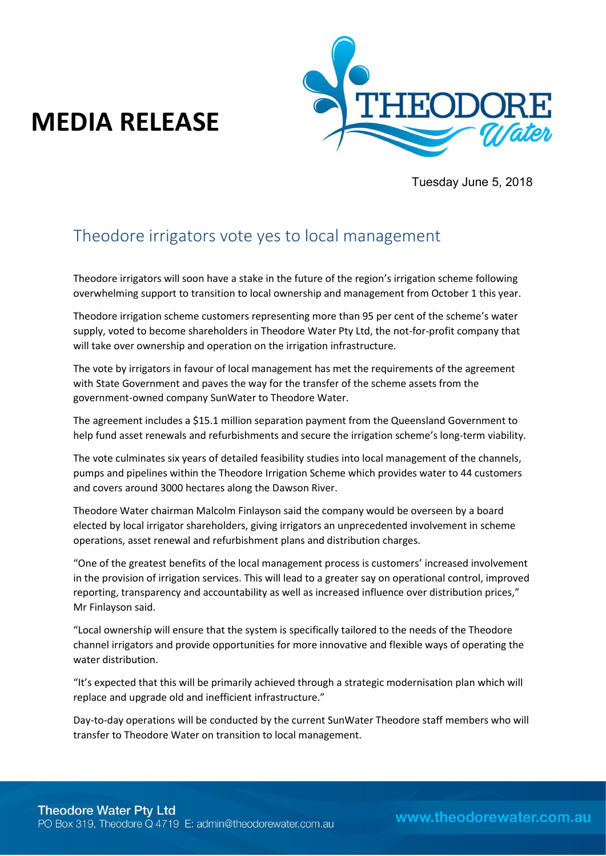## **MEDIA RELEASE**



Tuesday June 5, 2018

## Theodore irrigators vote yes to local management

Theodore irrigators will soon have a stake in the future of the region's irrigation scheme following overwhelming support to transition to local ownership and management from October 1 this year.

Theodore irrigation scheme customers representing more than 95 per cent of the scheme's water supply, voted to become shareholders in Theodore Water Pty Ltd, the not-for-profit company that will take over ownership and operation on the irrigation infrastructure.

The vote by irrigators in favour of local management has met the requirements of the agreement with State Government and paves the way for the transfer of the scheme assets from the government-owned company SunWater to Theodore Water.

The agreement includes a \$15.1 million separation payment from the Queensland Government to help fund asset renewals and refurbishments and secure the irrigation scheme's long-term viability.

The vote culminates six years of detailed feasibility studies into local management of the channels, pumps and pipelines within the Theodore Irrigation Scheme which provides water to 44 customers and covers around 3000 hectares along the Dawson River.

Theodore Water chairman Malcolm Finlayson said the company would be overseen by a board elected by local irrigator shareholders, giving irrigators an unprecedented involvement in scheme operations, asset renewal and refurbishment plans and distribution charges.

͞One of the greatest benefits of the local management process is customers' increased involvement in the provision of irrigation services. This will lead to a greater say on operational control, improved reporting, transparency and accountability as well as increased influence over distribution prices," Mr Finlayson said.

͞Local ownership will ensure that the system is specifically tailored to the needs of the Theodore channel irrigators and provide opportunities for more innovative and flexible ways of operating the water distribution.

"It's expected that this will be primarily achieved through a strategic modernisation plan which will replace and upgrade old and inefficient infrastructure."

Day-to-day operations will be conducted by the current SunWater Theodore staff members who will transfer to Theodore Water on transition to local management.